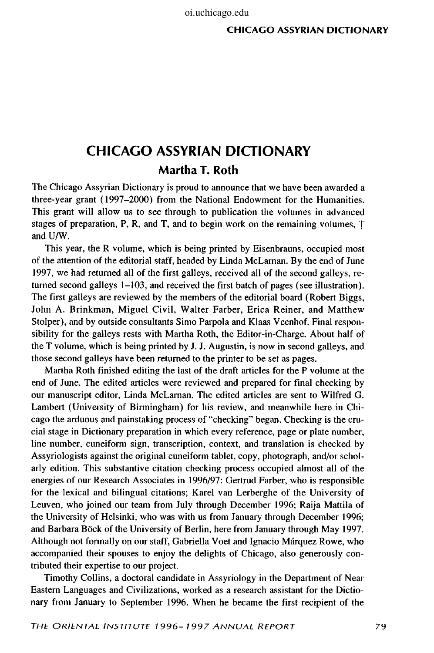## **CHICAGO ASSYRIAN DICTIONARY Martha T. Roth**

The Chicago Assyrian Dictionary is proud to announce that we have been awarded a three-year grant (1997-2000) from the National Endowment for the Humanities. This grant will allow us to see through to publication the volumes in advanced stages of preparation, P, R, and T, and to begin work on the remaining volumes, T and U/W.

This year, the R volume, which is being printed by Eisenbrauns, occupied most of the attention of the editorial staff, headed by Linda McLarnan. By the end of June 1997, we had returned all of the first galleys, received all of the second galleys, returned second galleys 1-103, and received the first batch of pages (see illustration). The first galleys are reviewed by the members of the editorial board (Robert Biggs, John A. Brinkman, Miguel Civil, Walter Farber, Erica Reiner, and Matthew Stolper), and by outside consultants Simo Parpola and Klaas Veenhof. Final responsibility for the galleys rests with Martha Roth, the Editor-in-Charge. About half of the T volume, which is being printed by J. J. Augustin, is now in second galleys, and those second galleys have been returned to the printer to be set as pages.

Martha Roth finished editing the last of the draft articles for the P volume at the end of June. The edited articles were reviewed and prepared for final checking by our manuscript editor, Linda McLarnan. The edited articles are sent to Wilfred G. Lambert (University of Birmingham) for his review, and meanwhile here in Chicago the arduous and painstaking process of "checking" began. Checking is the crucial stage in Dictionary preparation in which every reference, page or plate number, line number, cuneiform sign, transcription, context, and translation is checked by Assyriologists against the original cuneiform tablet, copy, photograph, and/or scholarly edition. This substantive citation checking process occupied almost all of the energies of our Research Associates in 1996/97: Gertrud Farber, who is responsible for the lexical and bilingual citations; Karel van Lerberghe of the University of Leuven, who joined our team from July through December 1996; Raija Mattila of the University of Helsinki, who was with us from January through December 1996; and Barbara Bock of the University of Berlin, here from January through May 1997. Although not formally on our staff, Gabriella Voet and Ignacio Márquez Rowe, who accompanied their spouses to enjoy the delights of Chicago, also generously contributed their expertise to our project.

Timothy Collins, a doctoral candidate in Assyriology in the Department of Near Eastern Languages and Civilizations, worked as a research assistant for the Dictionary from January to September 1996. When he became the first recipient of the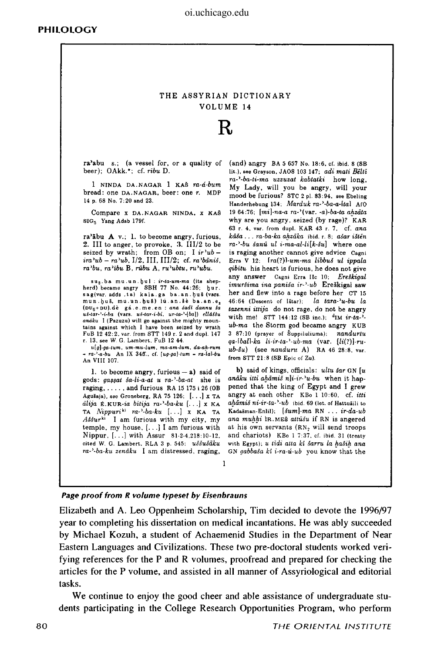## **THE ASSYRIAN DICTIONARY VOLUME 14 R**  ra'abu s.; (a vessel for, or a quality of beer); OAkk.\*; cf. *ribu* D. 1 NINDA DA. NAGAR 1 KA§ *ra-d-bum*  bread : one DA.NAGAR , beer: one r. MDP 14 p. 68 No. 7:20 and 23. Compare x DA.NAGAR NINDA, x KAŠ SIG5 Yang Adab 179f. ra'ābu A v.; 1. to become angry, furious, 2. III to anger, to provoke, 3. III/2 to be seized by wrath; from OB on; I ir'ub *ira'ub - ra'ub,* 1/2, III, III/2 ; cf. *ra'baniS, ra'bu, raHbu* B, *rubu* A, *ru'ubtu, ru'ubu.*  sug.ba mu.un.hul : ir-ta-um-ma (its shepherd) became angry - SBH 77 No. 44:26; hur.<br>sag(var. adds .ta) kala.ga ba.an.huš (vars.<br>mun.huš, mu.un.huš) lú.an.šè ba.an.e<sub>r</sub> (DU6+Du).de ga.e.me.e n : *ana 6adi dannu Sa ut-tar-'-i-ba* (vars. *uS-tar-i-bi. ur-ta-\*-[ba]) elldSiu*  andku I (Pazuzu) will go against the mighty mountains against which I have been seized by wrath FuB 12 42:2. var. from STT 149 r. 2 and dupl. 147 r. 13. see W. G. Lambert. FuB 12 44. *u[g]-ga-tum, um-mu-lum*, *ma-am-lum, da-ah-rum*  = *ra-'-a-bu* An IX 34ff.. cf. *[ug-ga]-Lum - ra-la]-bu*  An VIII 107. 1. to become angry, furious  $-$  a) said of gods: *gassat sa-li-a-at u ra-^-ba-at* she is raging,  $\dots$ , and furious RA 15 175 i 26 (OB Agušaja), see Groneberg, RA 75 126; [...] x TA *dlija* E.KUR-ta *bitija ra-y -ba-ku [.* . .] x K A TA *Nippuriki ra-y -ba-ku* [. . .] x K A TA *AsSur^* I am furious with my city, my temple, my house,  $[...]$  I am furious with Nippur, [. . .] with Assur 81-2-4,218:10-12, cited W. G. Lambert, RLA 3 p. 545: *ussusdku ra-y -ba-ku zendku* I am distressed, raging, (and) angry BA 5 657 No. 18:6, cf. ibid. 8 (SB lit.), see Grayson, JAOS 103 147; *adi mati Belti*  ra-'-ba-ti-ma uzzuzat kabtatki how long, My Lady, will you be angry, will your mood be furious? STC 2 pi. 83:94, see Ebeling Handerhebung 134; *Marduk ra-y -ba-a-\ta\* AfO 19 64:76; *[mi]-na-a* ra-'(var. *-a)-ba-ta ahzdta*  why are you angry, seized (by rage)? KAR 63 r. 4. var. from dupl. KAR 43 r. 7, cf. *ana kas"a* . . . *ra-ba-ka ahzdka* ibid. r. 8; *asar isten*  ra-'-bu šanu ul *i-ma-al-li*[k-šu] where one is raging another cannot give advice Cagni Erra V 12; *\ra(?)1-um-ma libbuS ul ippala qibitu* his heart is furious, he does not give any answer Cagni Erra He 10; *EreSkigal imuršima ina paniša ir-*<sup>2</sup>-ub Ereškigal saw her and flew into a rage before her CT 15 46:64 (Descent of Ištar); la tara-'u-bu la *tazenni ittija* do not rage, do not be angry with me! STT 144:12 (SB inc.); <sup>d</sup>IM ir-ta-<sup>2</sup> *ub-ma* the Storm god became angry KUB 3 87:10 (prayer of Suppiluliuma); *nandurtu qaAbalVka li-ir-ta-'-ub-ma* (var. *[li(?)]-ruub-§u)* (see *nanduru* A) RA 46 28:8, var. from STT 21:8 (SB Epic of Zu). b) said of kings, officials: *ultu §ar* GN *[u anāku itti ahāmiš n]i-ir-'u-bu* when it happened that the king of Egypt and I grew angry at each other KBo 1 10:60, cf. *itti* ahāmiš ni-ir-ta-<sup>3</sup>-ub ibid. 69 (let. of Hattušili to Kada§man-Enlil); *[sum]-ma* RN . . . *ir-da-ub*  ana muhhi IR.MEŠ attūšu if RN is angered at his own servants  $\left(RN_{2} \text{ will send troops}\right)$ and chariots) KBo 1 7:37, cf. ibid. 31 (treaty with Egypt); *u tidi atta ki sarru la hasih ana*  GN gabbaša ki i-ra-u-ub you know that the **1 Page proof from R volume typeset by Eisenbrauns**

Elizabeth and A. Leo Oppenheim Scholarship, Tim decided to devote the 1996/97 year to completing his dissertation on medical incantations. He was ably succeeded by Michael Kozuh, a student of Achaemenid Studies in the Department of Near Eastern Languages and Civilizations. These two pre-doctoral students worked verifying references for the P and R volumes, proofread and prepared for checking the articles for the P volume, and assisted in all manner of Assyriological and editorial tasks.

We continue to enjoy the good cheer and able assistance of undergraduate students participating in the College Research Opportunities Program, who perform